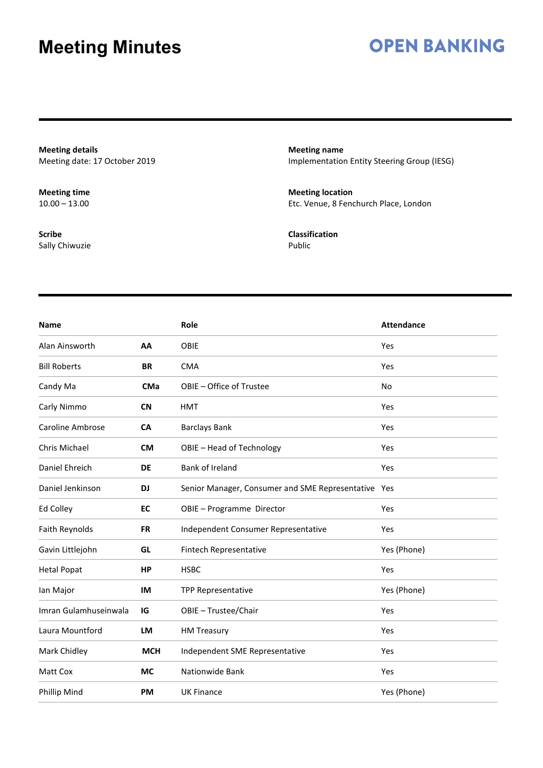### **OPEN BANKING**

**Meeting details** Meeting date: 17 October 2019

**Meeting time**  $10.00 - 13.00$ 

**Scribe** Sally Chiwuzie **Meeting name** Implementation Entity Steering Group (IESG)

**Meeting location** Etc. Venue, 8 Fenchurch Place, London

**Classification** Public

| <b>Name</b>           |            | Role                                                | <b>Attendance</b> |
|-----------------------|------------|-----------------------------------------------------|-------------------|
| Alan Ainsworth        | AA         | OBIE                                                | Yes               |
| <b>Bill Roberts</b>   | <b>BR</b>  | <b>CMA</b>                                          | Yes               |
| Candy Ma              | <b>CMa</b> | OBIE - Office of Trustee                            | No                |
| Carly Nimmo           | <b>CN</b>  | <b>HMT</b>                                          | Yes               |
| Caroline Ambrose      | <b>CA</b>  | <b>Barclays Bank</b>                                | Yes               |
| Chris Michael         | <b>CM</b>  | OBIE - Head of Technology                           | Yes               |
| Daniel Ehreich        | DE         | Bank of Ireland                                     | Yes               |
| Daniel Jenkinson      | <b>DJ</b>  | Senior Manager, Consumer and SME Representative Yes |                   |
| Ed Colley             | EC         | OBIE - Programme Director                           | Yes               |
| Faith Reynolds        | <b>FR</b>  | Independent Consumer Representative                 | Yes               |
| Gavin Littlejohn      | GL         | Fintech Representative                              | Yes (Phone)       |
| <b>Hetal Popat</b>    | <b>HP</b>  | <b>HSBC</b>                                         | Yes               |
| lan Major             | IM         | <b>TPP Representative</b>                           | Yes (Phone)       |
| Imran Gulamhuseinwala | IG         | OBIE - Trustee/Chair                                | Yes               |
| Laura Mountford       | LM         | <b>HM Treasury</b>                                  | Yes               |
| Mark Chidley          | <b>MCH</b> | Independent SME Representative                      | Yes               |
| Matt Cox              | <b>MC</b>  | Nationwide Bank                                     | Yes               |
| Phillip Mind          | <b>PM</b>  | <b>UK Finance</b>                                   | Yes (Phone)       |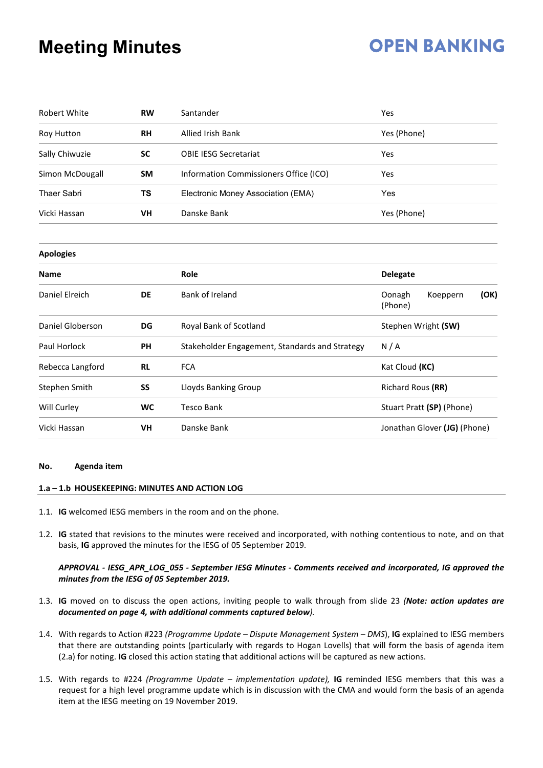### **OPEN BANKING**

| <b>Robert White</b> | <b>RW</b> | Santander                                      | Yes                                   |  |  |  |
|---------------------|-----------|------------------------------------------------|---------------------------------------|--|--|--|
| Roy Hutton          | <b>RH</b> | <b>Allied Irish Bank</b>                       | Yes (Phone)                           |  |  |  |
| Sally Chiwuzie      | <b>SC</b> | <b>OBIE IESG Secretariat</b>                   | Yes                                   |  |  |  |
| Simon McDougall     | SM        | Information Commissioners Office (ICO)         | <b>Yes</b>                            |  |  |  |
| <b>Thaer Sabri</b>  | TS        | Electronic Money Association (EMA)             | Yes                                   |  |  |  |
| Vicki Hassan        | VH        | Danske Bank                                    | Yes (Phone)                           |  |  |  |
| <b>Apologies</b>    |           |                                                |                                       |  |  |  |
| <b>Name</b>         |           | Role                                           | <b>Delegate</b>                       |  |  |  |
| Daniel Elreich      | DE        | Bank of Ireland                                | Oonagh<br>(OK)<br>Koeppern<br>(Phone) |  |  |  |
| Daniel Globerson    | DG        | Royal Bank of Scotland                         | Stephen Wright (SW)                   |  |  |  |
| Paul Horlock        | PH        | Stakeholder Engagement, Standards and Strategy | N/A                                   |  |  |  |
| Rebecca Langford    | <b>RL</b> | <b>FCA</b>                                     | Kat Cloud (KC)                        |  |  |  |
| Stephen Smith       | SS        | Lloyds Banking Group                           | Richard Rous (RR)                     |  |  |  |
| Will Curley         | <b>WC</b> | <b>Tesco Bank</b>                              | Stuart Pratt (SP) (Phone)             |  |  |  |

### **No. Agenda item**

#### **1.a – 1.b HOUSEKEEPING: MINUTES AND ACTION LOG**

- 1.1. **IG** welcomed IESG members in the room and on the phone.
- 1.2. **IG** stated that revisions to the minutes were received and incorporated, with nothing contentious to note, and on that basis, **IG** approved the minutes for the IESG of 05 September 2019.

Vicki Hassan **VH** Danske Bank Jonathan Glover **(JG)** (Phone)

#### *APPROVAL - IESG\_APR\_LOG\_055 - September IESG Minutes - Comments received and incorporated, IG approved the minutes from the IESG of 05 September 2019.*

- 1.3. **IG** moved on to discuss the open actions, inviting people to walk through from slide 23 *(Note: action updates are documented on page 4, with additional comments captured below).*
- 1.4. With regards to Action #223 *(Programme Update – Dispute Management System – DMS*), **IG** explained to IESG members that there are outstanding points (particularly with regards to Hogan Lovells) that will form the basis of agenda item (2.a) for noting. **IG** closed this action stating that additional actions will be captured as new actions.
- 1.5. With regards to #224 *(Programme Update – implementation update),* **IG** reminded IESG members that this was a request for a high level programme update which is in discussion with the CMA and would form the basis of an agenda item at the IESG meeting on 19 November 2019.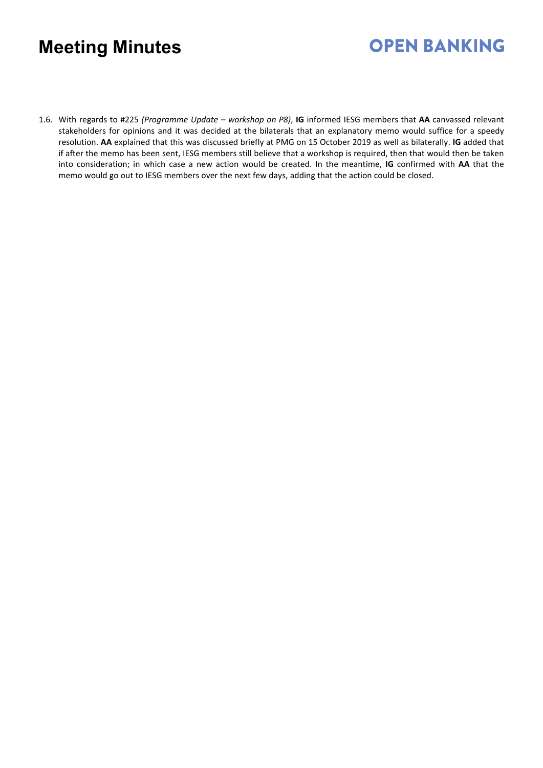## **OPEN BANKING**

1.6. With regards to #225 *(Programme Update – workshop on P8)*, **IG** informed IESG members that **AA** canvassed relevant stakeholders for opinions and it was decided at the bilaterals that an explanatory memo would suffice for a speedy resolution. **AA** explained that this was discussed briefly at PMG on 15 October 2019 as well as bilaterally. **IG** added that if after the memo has been sent, IESG members still believe that a workshop is required, then that would then be taken into consideration; in which case a new action would be created. In the meantime, **IG** confirmed with **AA** that the memo would go out to IESG members over the next few days, adding that the action could be closed.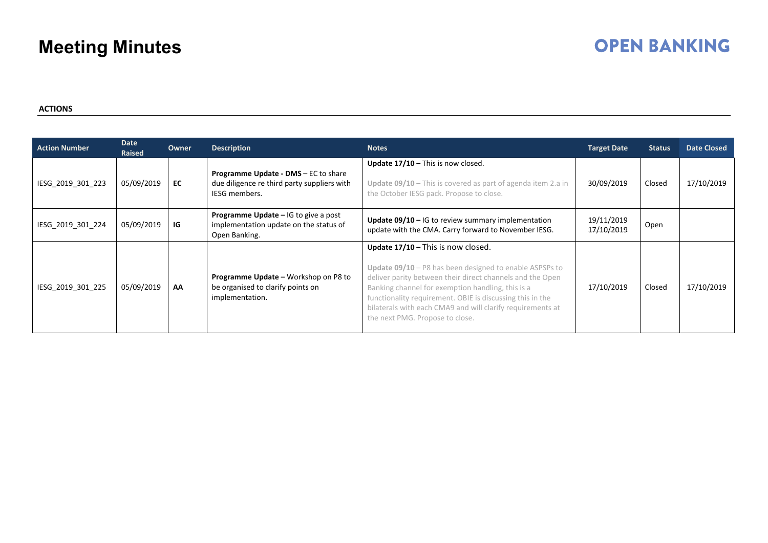### **OPEN BANKING**

#### **ACTIONS**

| <b>Action Number</b> | Date<br>Raised | Owner | <b>Description</b>                                                                                          | <b>Notes</b>                                                                                                                                                                                                                                                                                                                                                                    | <b>Target Date</b>       | <b>Status</b> | <b>Date Closed</b> |
|----------------------|----------------|-------|-------------------------------------------------------------------------------------------------------------|---------------------------------------------------------------------------------------------------------------------------------------------------------------------------------------------------------------------------------------------------------------------------------------------------------------------------------------------------------------------------------|--------------------------|---------------|--------------------|
| IESG 2019 301 223    | 05/09/2019     | EC    | Programme Update - DMS - EC to share<br>due diligence re third party suppliers with<br><b>IESG members.</b> | Update $17/10$ – This is now closed.<br>Update $09/10$ – This is covered as part of agenda item 2.a in<br>the October IESG pack. Propose to close.                                                                                                                                                                                                                              | 30/09/2019               | Closed        | 17/10/2019         |
| IESG_2019_301_224    | 05/09/2019     | IG    | Programme Update - IG to give a post<br>implementation update on the status of<br>Open Banking.             | Update $09/10$ – IG to review summary implementation<br>update with the CMA. Carry forward to November IESG.                                                                                                                                                                                                                                                                    | 19/11/2019<br>17/10/2019 | Open          |                    |
| IESG 2019 301 225    | 05/09/2019     | AA    | <b>Programme Update - Workshop on P8 to</b><br>be organised to clarify points on<br>implementation.         | Update 17/10 - This is now closed.<br>Update $09/10 - P8$ has been designed to enable ASPSPs to<br>deliver parity between their direct channels and the Open<br>Banking channel for exemption handling, this is a<br>functionality requirement. OBIE is discussing this in the<br>bilaterals with each CMA9 and will clarify requirements at<br>the next PMG. Propose to close. | 17/10/2019               | Closed        | 17/10/2019         |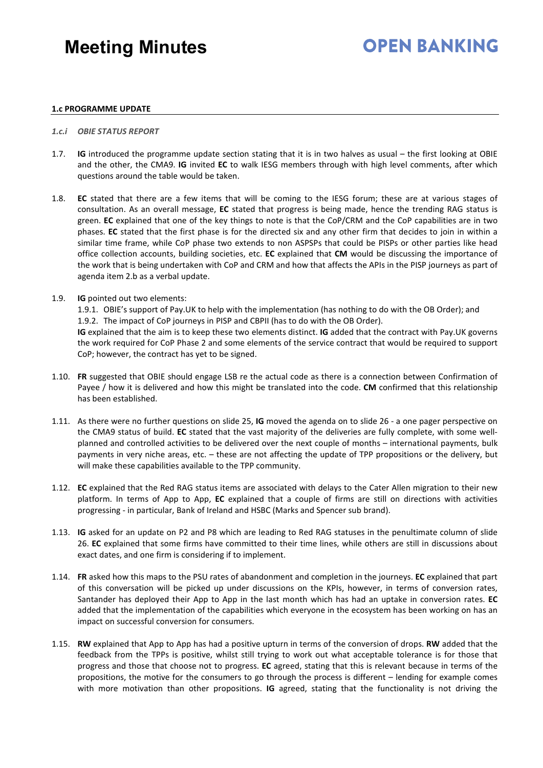### **OPEN BANKING**

#### **1.c PROGRAMME UPDATE**

#### *1.c.i OBIE STATUS REPORT*

- 1.7. **IG** introduced the programme update section stating that it is in two halves as usual the first looking at OBIE and the other, the CMA9. **IG** invited **EC** to walk IESG members through with high level comments, after which questions around the table would be taken.
- 1.8. **EC** stated that there are a few items that will be coming to the IESG forum; these are at various stages of consultation. As an overall message, **EC** stated that progress is being made, hence the trending RAG status is green. **EC** explained that one of the key things to note is that the CoP/CRM and the CoP capabilities are in two phases. **EC** stated that the first phase is for the directed six and any other firm that decides to join in within a similar time frame, while CoP phase two extends to non ASPSPs that could be PISPs or other parties like head office collection accounts, building societies, etc. **EC** explained that **CM** would be discussing the importance of the work that is being undertaken with CoP and CRM and how that affects the APIs in the PISP journeys as part of agenda item 2.b as a verbal update.
- 1.9. **IG** pointed out two elements:

1.9.1. OBIE's support of Pay.UK to help with the implementation (has nothing to do with the OB Order); and 1.9.2. The impact of CoP journeys in PISP and CBPII (has to do with the OB Order).

**IG** explained that the aim is to keep these two elements distinct. **IG** added that the contract with Pay.UK governs the work required for CoP Phase 2 and some elements of the service contract that would be required to support CoP; however, the contract has yet to be signed.

- 1.10. **FR** suggested that OBIE should engage LSB re the actual code as there is a connection between Confirmation of Payee / how it is delivered and how this might be translated into the code. **CM** confirmed that this relationship has been established.
- 1.11. As there were no further questions on slide 25, **IG** moved the agenda on to slide 26 a one pager perspective on the CMA9 status of build. **EC** stated that the vast majority of the deliveries are fully complete, with some wellplanned and controlled activities to be delivered over the next couple of months – international payments, bulk payments in very niche areas, etc. – these are not affecting the update of TPP propositions or the delivery, but will make these capabilities available to the TPP community.
- 1.12. **EC** explained that the Red RAG status items are associated with delays to the Cater Allen migration to their new platform. In terms of App to App, **EC** explained that a couple of firms are still on directions with activities progressing - in particular, Bank of Ireland and HSBC (Marks and Spencer sub brand).
- 1.13. **IG** asked for an update on P2 and P8 which are leading to Red RAG statuses in the penultimate column of slide 26. **EC** explained that some firms have committed to their time lines, while others are still in discussions about exact dates, and one firm is considering if to implement.
- 1.14. **FR** asked how this maps to the PSU rates of abandonment and completion in the journeys. **EC** explained that part of this conversation will be picked up under discussions on the KPIs, however, in terms of conversion rates, Santander has deployed their App to App in the last month which has had an uptake in conversion rates. **EC** added that the implementation of the capabilities which everyone in the ecosystem has been working on has an impact on successful conversion for consumers.
- 1.15. **RW** explained that App to App has had a positive upturn in terms of the conversion of drops. **RW** added that the feedback from the TPPs is positive, whilst still trying to work out what acceptable tolerance is for those that progress and those that choose not to progress. **EC** agreed, stating that this is relevant because in terms of the propositions, the motive for the consumers to go through the process is different – lending for example comes with more motivation than other propositions. **IG** agreed, stating that the functionality is not driving the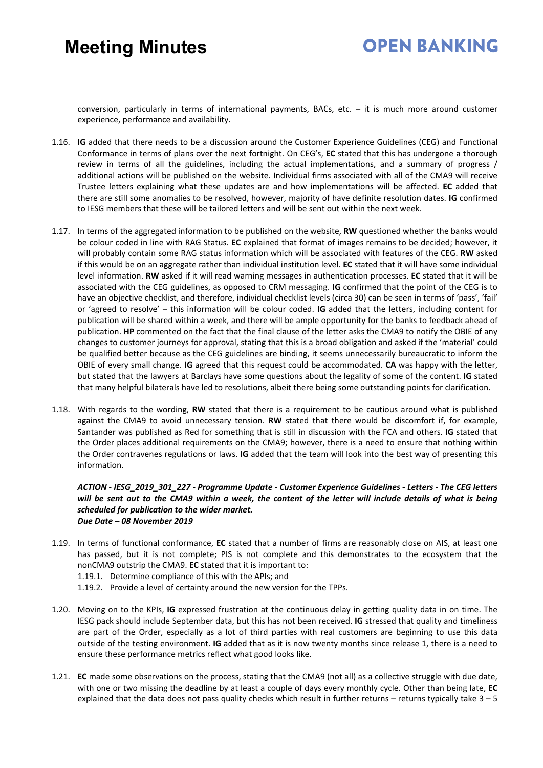### **OPEN BANKING**

conversion, particularly in terms of international payments, BACs, etc. – it is much more around customer experience, performance and availability.

- 1.16. **IG** added that there needs to be a discussion around the Customer Experience Guidelines (CEG) and Functional Conformance in terms of plans over the next fortnight. On CEG's, **EC** stated that this has undergone a thorough review in terms of all the guidelines, including the actual implementations, and a summary of progress / additional actions will be published on the website. Individual firms associated with all of the CMA9 will receive Trustee letters explaining what these updates are and how implementations will be affected. **EC** added that there are still some anomalies to be resolved, however, majority of have definite resolution dates. **IG** confirmed to IESG members that these will be tailored letters and will be sent out within the next week.
- 1.17. In terms of the aggregated information to be published on the website, **RW** questioned whether the banks would be colour coded in line with RAG Status. **EC** explained that format of images remains to be decided; however, it will probably contain some RAG status information which will be associated with features of the CEG. **RW** asked if this would be on an aggregate rather than individual institution level. **EC** stated that it will have some individual level information. **RW** asked if it will read warning messages in authentication processes. **EC** stated that it will be associated with the CEG guidelines, as opposed to CRM messaging. **IG** confirmed that the point of the CEG is to have an objective checklist, and therefore, individual checklist levels (circa 30) can be seen in terms of 'pass', 'fail' or 'agreed to resolve' – this information will be colour coded. **IG** added that the letters, including content for publication will be shared within a week, and there will be ample opportunity for the banks to feedback ahead of publication. **HP** commented on the fact that the final clause of the letter asks the CMA9 to notify the OBIE of any changes to customer journeys for approval, stating that this is a broad obligation and asked if the 'material' could be qualified better because as the CEG guidelines are binding, it seems unnecessarily bureaucratic to inform the OBIE of every small change. **IG** agreed that this request could be accommodated. **CA** was happy with the letter, but stated that the lawyers at Barclays have some questions about the legality of some of the content. **IG** stated that many helpful bilaterals have led to resolutions, albeit there being some outstanding points for clarification.
- 1.18. With regards to the wording, **RW** stated that there is a requirement to be cautious around what is published against the CMA9 to avoid unnecessary tension. **RW** stated that there would be discomfort if, for example, Santander was published as Red for something that is still in discussion with the FCA and others. **IG** stated that the Order places additional requirements on the CMA9; however, there is a need to ensure that nothing within the Order contravenes regulations or laws. **IG** added that the team will look into the best way of presenting this information.

#### *ACTION - IESG\_2019\_301\_227 - Programme Update - Customer Experience Guidelines - Letters - The CEG letters*  will be sent out to the CMA9 within a week, the content of the letter will *include details of what is being scheduled for publication to the wider market. Due Date – 08 November 2019*

- 1.19. In terms of functional conformance, **EC** stated that a number of firms are reasonably close on AIS, at least one has passed, but it is not complete; PIS is not complete and this demonstrates to the ecosystem that the nonCMA9 outstrip the CMA9. **EC** stated that it is important to:
	- 1.19.1. Determine compliance of this with the APIs; and
	- 1.19.2. Provide a level of certainty around the new version for the TPPs.
- 1.20. Moving on to the KPIs, **IG** expressed frustration at the continuous delay in getting quality data in on time. The IESG pack should include September data, but this has not been received. **IG** stressed that quality and timeliness are part of the Order, especially as a lot of third parties with real customers are beginning to use this data outside of the testing environment. **IG** added that as it is now twenty months since release 1, there is a need to ensure these performance metrics reflect what good looks like.
- 1.21. **EC** made some observations on the process, stating that the CMA9 (not all) as a collective struggle with due date, with one or two missing the deadline by at least a couple of days every monthly cycle. Other than being late, **EC** explained that the data does not pass quality checks which result in further returns – returns typically take  $3 - 5$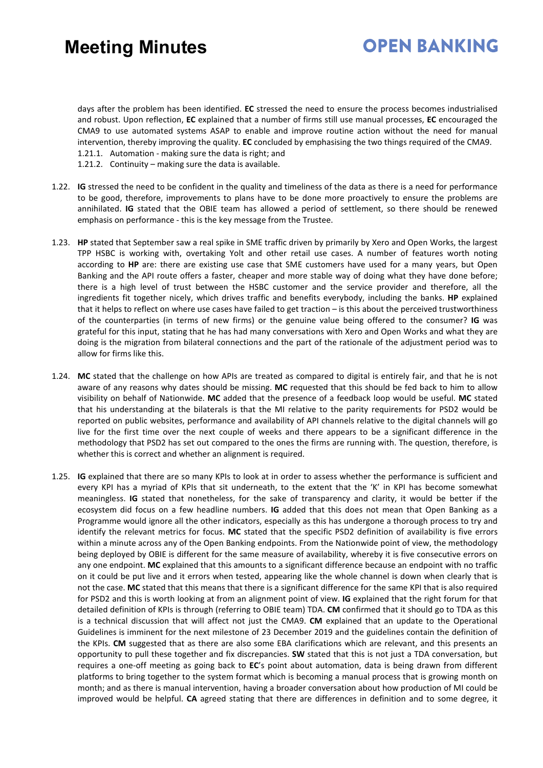### **OPEN BANKING**

days after the problem has been identified. **EC** stressed the need to ensure the process becomes industrialised and robust. Upon reflection, **EC** explained that a number of firms still use manual processes, **EC** encouraged the CMA9 to use automated systems ASAP to enable and improve routine action without the need for manual intervention, thereby improving the quality. **EC** concluded by emphasising the two things required of the CMA9. 1.21.1. Automation - making sure the data is right; and

- 1.21.2. Continuity making sure the data is available.
- 1.22. **IG** stressed the need to be confident in the quality and timeliness of the data as there is a need for performance to be good, therefore, improvements to plans have to be done more proactively to ensure the problems are annihilated. **IG** stated that the OBIE team has allowed a period of settlement, so there should be renewed emphasis on performance - this is the key message from the Trustee.
- 1.23. **HP** stated that September saw a real spike in SME traffic driven by primarily by Xero and Open Works, the largest TPP HSBC is working with, overtaking Yolt and other retail use cases. A number of features worth noting according to **HP** are: there are existing use case that SME customers have used for a many years, but Open Banking and the API route offers a faster, cheaper and more stable way of doing what they have done before; there is a high level of trust between the HSBC customer and the service provider and therefore, all the ingredients fit together nicely, which drives traffic and benefits everybody, including the banks. **HP** explained that it helps to reflect on where use cases have failed to get traction – is this about the perceived trustworthiness of the counterparties (in terms of new firms) or the genuine value being offered to the consumer? **IG** was grateful for this input, stating that he has had many conversations with Xero and Open Works and what they are doing is the migration from bilateral connections and the part of the rationale of the adjustment period was to allow for firms like this.
- 1.24. **MC** stated that the challenge on how APIs are treated as compared to digital is entirely fair, and that he is not aware of any reasons why dates should be missing. **MC** requested that this should be fed back to him to allow visibility on behalf of Nationwide. **MC** added that the presence of a feedback loop would be useful. **MC** stated that his understanding at the bilaterals is that the MI relative to the parity requirements for PSD2 would be reported on public websites, performance and availability of API channels relative to the digital channels will go live for the first time over the next couple of weeks and there appears to be a significant difference in the methodology that PSD2 has set out compared to the ones the firms are running with. The question, therefore, is whether this is correct and whether an alignment is required.
- 1.25. **IG** explained that there are so many KPIs to look at in order to assess whether the performance is sufficient and every KPI has a myriad of KPIs that sit underneath, to the extent that the 'K' in KPI has become somewhat meaningless. **IG** stated that nonetheless, for the sake of transparency and clarity, it would be better if the ecosystem did focus on a few headline numbers. **IG** added that this does not mean that Open Banking as a Programme would ignore all the other indicators, especially as this has undergone a thorough process to try and identify the relevant metrics for focus. **MC** stated that the specific PSD2 definition of availability is five errors within a minute across any of the Open Banking endpoints. From the Nationwide point of view, the methodology being deployed by OBIE is different for the same measure of availability, whereby it is five consecutive errors on any one endpoint. **MC** explained that this amounts to a significant difference because an endpoint with no traffic on it could be put live and it errors when tested, appearing like the whole channel is down when clearly that is not the case. **MC** stated that this means that there is a significant difference for the same KPI that is also required for PSD2 and this is worth looking at from an alignment point of view. **IG** explained that the right forum for that detailed definition of KPIs is through (referring to OBIE team) TDA. **CM** confirmed that it should go to TDA as this is a technical discussion that will affect not just the CMA9. **CM** explained that an update to the Operational Guidelines is imminent for the next milestone of 23 December 2019 and the guidelines contain the definition of the KPIs. **CM** suggested that as there are also some EBA clarifications which are relevant, and this presents an opportunity to pull these together and fix discrepancies. **SW** stated that this is not just a TDA conversation, but requires a one-off meeting as going back to **EC**'s point about automation, data is being drawn from different platforms to bring together to the system format which is becoming a manual process that is growing month on month; and as there is manual intervention, having a broader conversation about how production of MI could be improved would be helpful. **CA** agreed stating that there are differences in definition and to some degree, it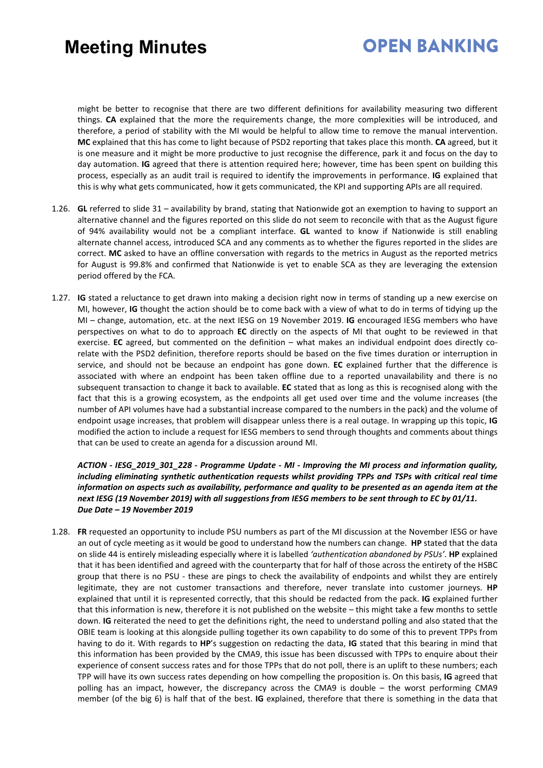### **OPEN BANKING**

might be better to recognise that there are two different definitions for availability measuring two different things. **CA** explained that the more the requirements change, the more complexities will be introduced, and therefore, a period of stability with the MI would be helpful to allow time to remove the manual intervention. **MC** explained that this has come to light because of PSD2 reporting that takes place this month. **CA** agreed, but it is one measure and it might be more productive to just recognise the difference, park it and focus on the day to day automation. **IG** agreed that there is attention required here; however, time has been spent on building this process, especially as an audit trail is required to identify the improvements in performance. **IG** explained that this is why what gets communicated, how it gets communicated, the KPI and supporting APIs are all required.

- 1.26. **GL** referred to slide 31 availability by brand, stating that Nationwide got an exemption to having to support an alternative channel and the figures reported on this slide do not seem to reconcile with that as the August figure of 94% availability would not be a compliant interface. **GL** wanted to know if Nationwide is still enabling alternate channel access, introduced SCA and any comments as to whether the figures reported in the slides are correct. **MC** asked to have an offline conversation with regards to the metrics in August as the reported metrics for August is 99.8% and confirmed that Nationwide is yet to enable SCA as they are leveraging the extension period offered by the FCA.
- 1.27. **IG** stated a reluctance to get drawn into making a decision right now in terms of standing up a new exercise on MI, however, **IG** thought the action should be to come back with a view of what to do in terms of tidying up the MI – change, automation, etc. at the next IESG on 19 November 2019. **IG** encouraged IESG members who have perspectives on what to do to approach **EC** directly on the aspects of MI that ought to be reviewed in that exercise. **EC** agreed, but commented on the definition – what makes an individual endpoint does directly corelate with the PSD2 definition, therefore reports should be based on the five times duration or interruption in service, and should not be because an endpoint has gone down. **EC** explained further that the difference is associated with where an endpoint has been taken offline due to a reported unavailability and there is no subsequent transaction to change it back to available. **EC** stated that as long as this is recognised along with the fact that this is a growing ecosystem, as the endpoints all get used over time and the volume increases (the number of API volumes have had a substantial increase compared to the numbers in the pack) and the volume of endpoint usage increases, that problem will disappear unless there is a real outage. In wrapping up this topic, **IG** modified the action to include a request for IESG members to send through thoughts and comments about things that can be used to create an agenda for a discussion around MI.

*ACTION - IESG\_2019\_301\_228 - Programme Update - MI - Improving the MI process and information quality, including eliminating synthetic authentication requests whilst providing TPPs and TSPs with critical real time information on aspects such as availability, performance and quality to be presented as an agenda item at the next IESG (19 November 2019) with all suggestions from IESG members to be sent through to EC by 01/11. Due Date – 19 November 2019* 

1.28. **FR** requested an opportunity to include PSU numbers as part of the MI discussion at the November IESG or have an out of cycle meeting as it would be good to understand how the numbers can change. **HP** stated that the data on slide 44 is entirely misleading especially where it is labelled *'authentication abandoned by PSUs'*. **HP** explained that it has been identified and agreed with the counterparty that for half of those across the entirety of the HSBC group that there is no PSU - these are pings to check the availability of endpoints and whilst they are entirely legitimate, they are not customer transactions and therefore, never translate into customer journeys. **HP** explained that until it is represented correctly, that this should be redacted from the pack. **IG** explained further that this information is new, therefore it is not published on the website – this might take a few months to settle down. **IG** reiterated the need to get the definitions right, the need to understand polling and also stated that the OBIE team is looking at this alongside pulling together its own capability to do some of this to prevent TPPs from having to do it. With regards to **HP**'s suggestion on redacting the data, **IG** stated that this bearing in mind that this information has been provided by the CMA9, this issue has been discussed with TPPs to enquire about their experience of consent success rates and for those TPPs that do not poll, there is an uplift to these numbers; each TPP will have its own success rates depending on how compelling the proposition is. On this basis, **IG** agreed that polling has an impact, however, the discrepancy across the CMA9 is double – the worst performing CMA9 member (of the big 6) is half that of the best. **IG** explained, therefore that there is something in the data that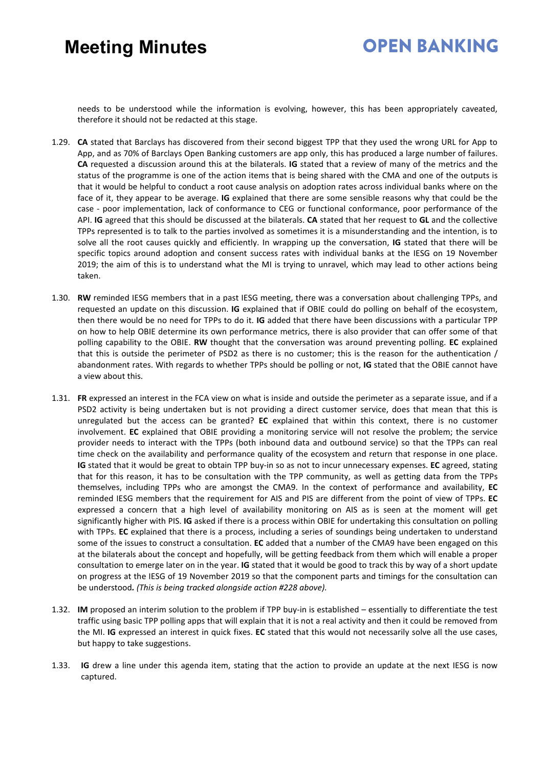### **OPEN BANKING**

needs to be understood while the information is evolving, however, this has been appropriately caveated, therefore it should not be redacted at this stage.

- 1.29. **CA** stated that Barclays has discovered from their second biggest TPP that they used the wrong URL for App to App, and as 70% of Barclays Open Banking customers are app only, this has produced a large number of failures. **CA** requested a discussion around this at the bilaterals. **IG** stated that a review of many of the metrics and the status of the programme is one of the action items that is being shared with the CMA and one of the outputs is that it would be helpful to conduct a root cause analysis on adoption rates across individual banks where on the face of it, they appear to be average. **IG** explained that there are some sensible reasons why that could be the case - poor implementation, lack of conformance to CEG or functional conformance, poor performance of the API. **IG** agreed that this should be discussed at the bilaterals. **CA** stated that her request to **GL** and the collective TPPs represented is to talk to the parties involved as sometimes it is a misunderstanding and the intention, is to solve all the root causes quickly and efficiently. In wrapping up the conversation, **IG** stated that there will be specific topics around adoption and consent success rates with individual banks at the IESG on 19 November 2019; the aim of this is to understand what the MI is trying to unravel, which may lead to other actions being taken.
- 1.30. **RW** reminded IESG members that in a past IESG meeting, there was a conversation about challenging TPPs, and requested an update on this discussion. **IG** explained that if OBIE could do polling on behalf of the ecosystem, then there would be no need for TPPs to do it. **IG** added that there have been discussions with a particular TPP on how to help OBIE determine its own performance metrics, there is also provider that can offer some of that polling capability to the OBIE. **RW** thought that the conversation was around preventing polling. **EC** explained that this is outside the perimeter of PSD2 as there is no customer; this is the reason for the authentication / abandonment rates. With regards to whether TPPs should be polling or not, **IG** stated that the OBIE cannot have a view about this.
- 1.31. **FR** expressed an interest in the FCA view on what is inside and outside the perimeter as a separate issue, and if a PSD2 activity is being undertaken but is not providing a direct customer service, does that mean that this is unregulated but the access can be granted? **EC** explained that within this context, there is no customer involvement. **EC** explained that OBIE providing a monitoring service will not resolve the problem; the service provider needs to interact with the TPPs (both inbound data and outbound service) so that the TPPs can real time check on the availability and performance quality of the ecosystem and return that response in one place. **IG** stated that it would be great to obtain TPP buy-in so as not to incur unnecessary expenses. **EC** agreed, stating that for this reason, it has to be consultation with the TPP community, as well as getting data from the TPPs themselves, including TPPs who are amongst the CMA9. In the context of performance and availability, **EC** reminded IESG members that the requirement for AIS and PIS are different from the point of view of TPPs. **EC** expressed a concern that a high level of availability monitoring on AIS as is seen at the moment will get significantly higher with PIS. **IG** asked if there is a process within OBIE for undertaking this consultation on polling with TPPs. **EC** explained that there is a process, including a series of soundings being undertaken to understand some of the issues to construct a consultation. **EC** added that a number of the CMA9 have been engaged on this at the bilaterals about the concept and hopefully, will be getting feedback from them which will enable a proper consultation to emerge later on in the year. **IG** stated that it would be good to track this by way of a short update on progress at the IESG of 19 November 2019 so that the component parts and timings for the consultation can be understood*. (This is being tracked alongside action #228 above).*
- 1.32. **IM** proposed an interim solution to the problem if TPP buy-in is established essentially to differentiate the test traffic using basic TPP polling apps that will explain that it is not a real activity and then it could be removed from the MI. **IG** expressed an interest in quick fixes. **EC** stated that this would not necessarily solve all the use cases, but happy to take suggestions.
- 1.33. **IG** drew a line under this agenda item, stating that the action to provide an update at the next IESG is now captured.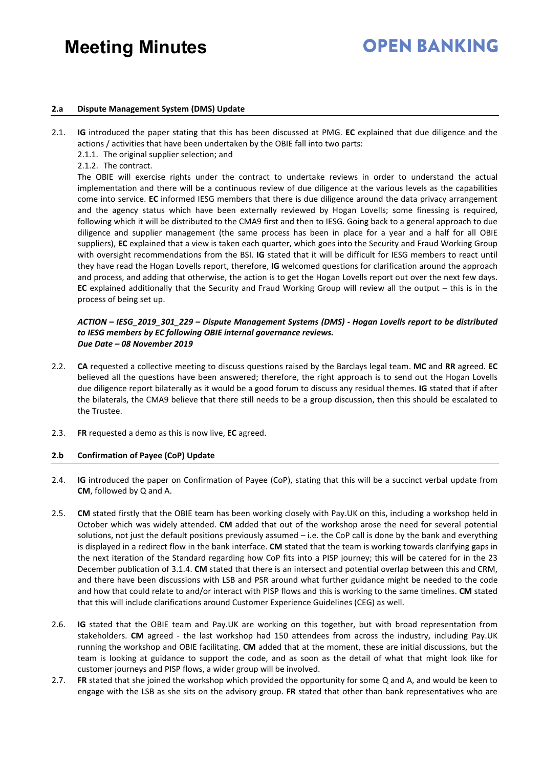## **OPEN BANKING**

#### **2.a Dispute Management System (DMS) Update**

- 2.1. **IG** introduced the paper stating that this has been discussed at PMG. **EC** explained that due diligence and the actions / activities that have been undertaken by the OBIE fall into two parts:
	- 2.1.1. The original supplier selection; and
	- 2.1.2. The contract.

The OBIE will exercise rights under the contract to undertake reviews in order to understand the actual implementation and there will be a continuous review of due diligence at the various levels as the capabilities come into service. **EC** informed IESG members that there is due diligence around the data privacy arrangement and the agency status which have been externally reviewed by Hogan Lovells; some finessing is required, following which it will be distributed to the CMA9 first and then to IESG. Going back to a general approach to due diligence and supplier management (the same process has been in place for a year and a half for all OBIE suppliers), **EC** explained that a view is taken each quarter, which goes into the Security and Fraud Working Group with oversight recommendations from the BSI. **IG** stated that it will be difficult for IESG members to react until they have read the Hogan Lovells report, therefore, **IG** welcomed questions for clarification around the approach and process, and adding that otherwise, the action is to get the Hogan Lovells report out over the next few days. **EC** explained additionally that the Security and Fraud Working Group will review all the output – this is in the process of being set up.

#### *ACTION – IESG\_2019\_301\_229 – Dispute Management Systems (DMS) - Hogan Lovells report to be distributed to IESG members by EC following OBIE internal governance reviews. Due Date – 08 November 2019*

- 2.2. **CA** requested a collective meeting to discuss questions raised by the Barclays legal team. **MC** and **RR** agreed. **EC** believed all the questions have been answered; therefore, the right approach is to send out the Hogan Lovells due diligence report bilaterally as it would be a good forum to discuss any residual themes. **IG** stated that if after the bilaterals, the CMA9 believe that there still needs to be a group discussion, then this should be escalated to the Trustee.
- 2.3. **FR** requested a demo as this is now live, **EC** agreed.

#### **2.b Confirmation of Payee (CoP) Update**

- 2.4. **IG** introduced the paper on Confirmation of Payee (CoP), stating that this will be a succinct verbal update from **CM**, followed by Q and A.
- 2.5. **CM** stated firstly that the OBIE team has been working closely with Pay.UK on this, including a workshop held in October which was widely attended. **CM** added that out of the workshop arose the need for several potential solutions, not just the default positions previously assumed - i.e. the CoP call is done by the bank and everything is displayed in a redirect flow in the bank interface. **CM** stated that the team is working towards clarifying gaps in the next iteration of the Standard regarding how CoP fits into a PISP journey; this will be catered for in the 23 December publication of 3.1.4. **CM** stated that there is an intersect and potential overlap between this and CRM, and there have been discussions with LSB and PSR around what further guidance might be needed to the code and how that could relate to and/or interact with PISP flows and this is working to the same timelines. **CM** stated that this will include clarifications around Customer Experience Guidelines (CEG) as well.
- 2.6. **IG** stated that the OBIE team and Pay.UK are working on this together, but with broad representation from stakeholders. **CM** agreed - the last workshop had 150 attendees from across the industry, including Pay.UK running the workshop and OBIE facilitating. **CM** added that at the moment, these are initial discussions, but the team is looking at guidance to support the code, and as soon as the detail of what that might look like for customer journeys and PISP flows, a wider group will be involved.
- 2.7. **FR** stated that she joined the workshop which provided the opportunity for some Q and A, and would be keen to engage with the LSB as she sits on the advisory group. **FR** stated that other than bank representatives who are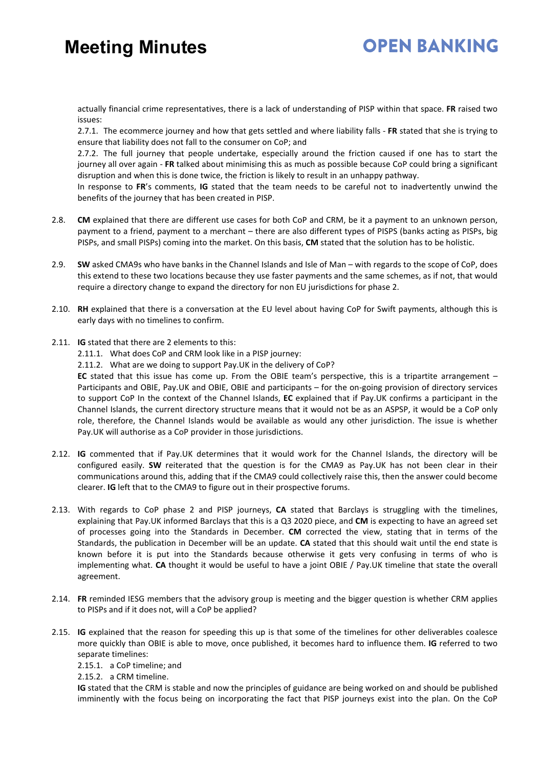### **OPEN BANKING**

actually financial crime representatives, there is a lack of understanding of PISP within that space. **FR** raised two issues:

2.7.1. The ecommerce journey and how that gets settled and where liability falls - **FR** stated that she is trying to ensure that liability does not fall to the consumer on CoP; and

2.7.2. The full journey that people undertake, especially around the friction caused if one has to start the journey all over again - **FR** talked about minimising this as much as possible because CoP could bring a significant disruption and when this is done twice, the friction is likely to result in an unhappy pathway.

In response to **FR**'s comments, **IG** stated that the team needs to be careful not to inadvertently unwind the benefits of the journey that has been created in PISP.

- 2.8. **CM** explained that there are different use cases for both CoP and CRM, be it a payment to an unknown person, payment to a friend, payment to a merchant – there are also different types of PISPS (banks acting as PISPs, big PISPs, and small PISPs) coming into the market. On this basis, **CM** stated that the solution has to be holistic.
- 2.9. **SW** asked CMA9s who have banks in the Channel Islands and Isle of Man with regards to the scope of CoP, does this extend to these two locations because they use faster payments and the same schemes, as if not, that would require a directory change to expand the directory for non EU jurisdictions for phase 2.
- 2.10. **RH** explained that there is a conversation at the EU level about having CoP for Swift payments, although this is early days with no timelines to confirm.
- 2.11. **IG** stated that there are 2 elements to this:
	- 2.11.1. What does CoP and CRM look like in a PISP journey:
	- 2.11.2. What are we doing to support Pay.UK in the delivery of CoP?

**EC** stated that this issue has come up. From the OBIE team's perspective, this is a tripartite arrangement – Participants and OBIE, Pay.UK and OBIE, OBIE and participants – for the on-going provision of directory services to support CoP In the context of the Channel Islands, **EC** explained that if Pay.UK confirms a participant in the Channel Islands, the current directory structure means that it would not be as an ASPSP, it would be a CoP only role, therefore, the Channel Islands would be available as would any other jurisdiction. The issue is whether Pay.UK will authorise as a CoP provider in those jurisdictions.

- 2.12. **IG** commented that if Pay.UK determines that it would work for the Channel Islands, the directory will be configured easily. **SW** reiterated that the question is for the CMA9 as Pay.UK has not been clear in their communications around this, adding that if the CMA9 could collectively raise this, then the answer could become clearer. **IG** left that to the CMA9 to figure out in their prospective forums.
- 2.13. With regards to CoP phase 2 and PISP journeys, **CA** stated that Barclays is struggling with the timelines, explaining that Pay.UK informed Barclays that this is a Q3 2020 piece, and **CM** is expecting to have an agreed set of processes going into the Standards in December. **CM** corrected the view, stating that in terms of the Standards, the publication in December will be an update. **CA** stated that this should wait until the end state is known before it is put into the Standards because otherwise it gets very confusing in terms of who is implementing what. **CA** thought it would be useful to have a joint OBIE / Pay.UK timeline that state the overall agreement.
- 2.14. **FR** reminded IESG members that the advisory group is meeting and the bigger question is whether CRM applies to PISPs and if it does not, will a CoP be applied?
- 2.15. **IG** explained that the reason for speeding this up is that some of the timelines for other deliverables coalesce more quickly than OBIE is able to move, once published, it becomes hard to influence them. **IG** referred to two separate timelines:

2.15.1. a CoP timeline; and

2.15.2. a CRM timeline.

**IG** stated that the CRM is stable and now the principles of guidance are being worked on and should be published imminently with the focus being on incorporating the fact that PISP journeys exist into the plan. On the CoP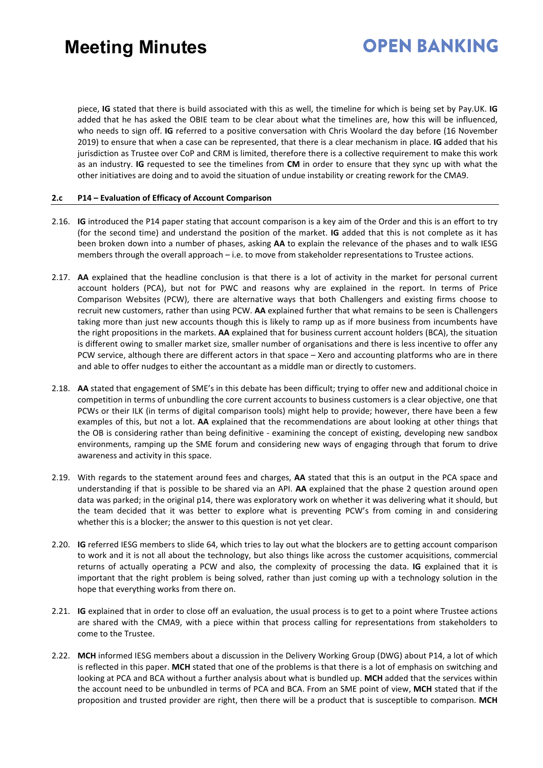### **OPEN BANKING**

piece, **IG** stated that there is build associated with this as well, the timeline for which is being set by Pay.UK. **IG** added that he has asked the OBIE team to be clear about what the timelines are, how this will be influenced, who needs to sign off. **IG** referred to a positive conversation with Chris Woolard the day before (16 November 2019) to ensure that when a case can be represented, that there is a clear mechanism in place. **IG** added that his jurisdiction as Trustee over CoP and CRM is limited, therefore there is a collective requirement to make this work as an industry. **IG** requested to see the timelines from **CM** in order to ensure that they sync up with what the other initiatives are doing and to avoid the situation of undue instability or creating rework for the CMA9.

#### **2.c P14 – Evaluation of Efficacy of Account Comparison**

- 2.16. **IG** introduced the P14 paper stating that account comparison is a key aim of the Order and this is an effort to try (for the second time) and understand the position of the market. **IG** added that this is not complete as it has been broken down into a number of phases, asking **AA** to explain the relevance of the phases and to walk IESG members through the overall approach – i.e. to move from stakeholder representations to Trustee actions.
- 2.17. **AA** explained that the headline conclusion is that there is a lot of activity in the market for personal current account holders (PCA), but not for PWC and reasons why are explained in the report. In terms of Price Comparison Websites (PCW), there are alternative ways that both Challengers and existing firms choose to recruit new customers, rather than using PCW. **AA** explained further that what remains to be seen is Challengers taking more than just new accounts though this is likely to ramp up as if more business from incumbents have the right propositions in the markets. **AA** explained that for business current account holders (BCA), the situation is different owing to smaller market size, smaller number of organisations and there is less incentive to offer any PCW service, although there are different actors in that space – Xero and accounting platforms who are in there and able to offer nudges to either the accountant as a middle man or directly to customers.
- 2.18. **AA** stated that engagement of SME's in this debate has been difficult; trying to offer new and additional choice in competition in terms of unbundling the core current accounts to business customers is a clear objective, one that PCWs or their ILK (in terms of digital comparison tools) might help to provide; however, there have been a few examples of this, but not a lot. **AA** explained that the recommendations are about looking at other things that the OB is considering rather than being definitive - examining the concept of existing, developing new sandbox environments, ramping up the SME forum and considering new ways of engaging through that forum to drive awareness and activity in this space.
- 2.19. With regards to the statement around fees and charges, **AA** stated that this is an output in the PCA space and understanding if that is possible to be shared via an API. **AA** explained that the phase 2 question around open data was parked; in the original p14, there was exploratory work on whether it was delivering what it should, but the team decided that it was better to explore what is preventing PCW's from coming in and considering whether this is a blocker; the answer to this question is not yet clear.
- 2.20. **IG** referred IESG members to slide 64, which tries to lay out what the blockers are to getting account comparison to work and it is not all about the technology, but also things like across the customer acquisitions, commercial returns of actually operating a PCW and also, the complexity of processing the data. **IG** explained that it is important that the right problem is being solved, rather than just coming up with a technology solution in the hope that everything works from there on.
- 2.21. **IG** explained that in order to close off an evaluation, the usual process is to get to a point where Trustee actions are shared with the CMA9, with a piece within that process calling for representations from stakeholders to come to the Trustee.
- 2.22. **MCH** informed IESG members about a discussion in the Delivery Working Group (DWG) about P14, a lot of which is reflected in this paper. **MCH** stated that one of the problems is that there is a lot of emphasis on switching and looking at PCA and BCA without a further analysis about what is bundled up. **MCH** added that the services within the account need to be unbundled in terms of PCA and BCA. From an SME point of view, **MCH** stated that if the proposition and trusted provider are right, then there will be a product that is susceptible to comparison. **MCH**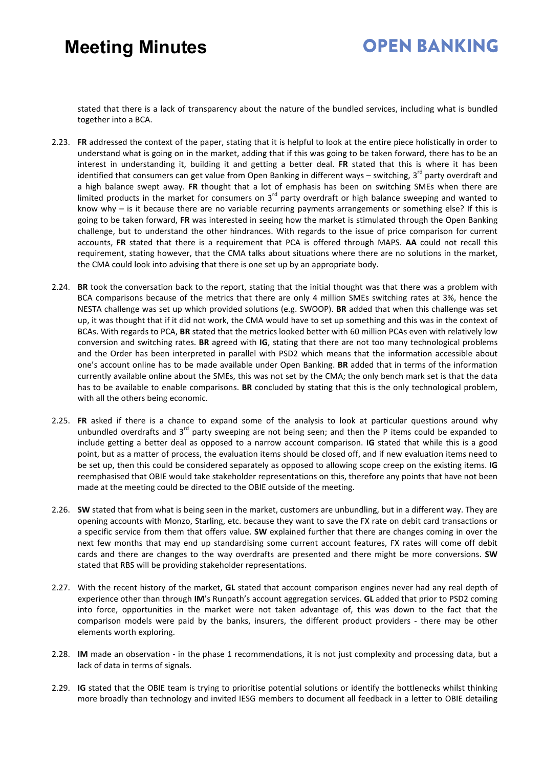### **OPEN BANKING**

stated that there is a lack of transparency about the nature of the bundled services, including what is bundled together into a BCA.

- 2.23. **FR** addressed the context of the paper, stating that it is helpful to look at the entire piece holistically in order to understand what is going on in the market, adding that if this was going to be taken forward, there has to be an interest in understanding it, building it and getting a better deal. **FR** stated that this is where it has been identified that consumers can get value from Open Banking in different ways - switching, 3<sup>rd</sup> party overdraft and a high balance swept away. **FR** thought that a lot of emphasis has been on switching SMEs when there are limited products in the market for consumers on  $3<sup>rd</sup>$  party overdraft or high balance sweeping and wanted to know why – is it because there are no variable recurring payments arrangements or something else? If this is going to be taken forward, **FR** was interested in seeing how the market is stimulated through the Open Banking challenge, but to understand the other hindrances. With regards to the issue of price comparison for current accounts, **FR** stated that there is a requirement that PCA is offered through MAPS. **AA** could not recall this requirement, stating however, that the CMA talks about situations where there are no solutions in the market, the CMA could look into advising that there is one set up by an appropriate body.
- 2.24. **BR** took the conversation back to the report, stating that the initial thought was that there was a problem with BCA comparisons because of the metrics that there are only 4 million SMEs switching rates at 3%, hence the NESTA challenge was set up which provided solutions (e.g. SWOOP). **BR** added that when this challenge was set up, it was thought that if it did not work, the CMA would have to set up something and this was in the context of BCAs. With regards to PCA, **BR** stated that the metrics looked better with 60 million PCAs even with relatively low conversion and switching rates. **BR** agreed with **IG**, stating that there are not too many technological problems and the Order has been interpreted in parallel with PSD2 which means that the information accessible about one's account online has to be made available under Open Banking. **BR** added that in terms of the information currently available online about the SMEs, this was not set by the CMA; the only bench mark set is that the data has to be available to enable comparisons. **BR** concluded by stating that this is the only technological problem, with all the others being economic.
- 2.25. **FR** asked if there is a chance to expand some of the analysis to look at particular questions around why unbundled overdrafts and  $3<sup>rd</sup>$  party sweeping are not being seen; and then the P items could be expanded to include getting a better deal as opposed to a narrow account comparison. **IG** stated that while this is a good point, but as a matter of process, the evaluation items should be closed off, and if new evaluation items need to be set up, then this could be considered separately as opposed to allowing scope creep on the existing items. **IG** reemphasised that OBIE would take stakeholder representations on this, therefore any points that have not been made at the meeting could be directed to the OBIE outside of the meeting.
- 2.26. **SW** stated that from what is being seen in the market, customers are unbundling, but in a different way. They are opening accounts with Monzo, Starling, etc. because they want to save the FX rate on debit card transactions or a specific service from them that offers value. **SW** explained further that there are changes coming in over the next few months that may end up standardising some current account features, FX rates will come off debit cards and there are changes to the way overdrafts are presented and there might be more conversions. **SW** stated that RBS will be providing stakeholder representations.
- 2.27. With the recent history of the market, **GL** stated that account comparison engines never had any real depth of experience other than through **IM**'s Runpath's account aggregation services. **GL** added that prior to PSD2 coming into force, opportunities in the market were not taken advantage of, this was down to the fact that the comparison models were paid by the banks, insurers, the different product providers - there may be other elements worth exploring.
- 2.28. **IM** made an observation in the phase 1 recommendations, it is not just complexity and processing data, but a lack of data in terms of signals.
- 2.29. **IG** stated that the OBIE team is trying to prioritise potential solutions or identify the bottlenecks whilst thinking more broadly than technology and invited IESG members to document all feedback in a letter to OBIE detailing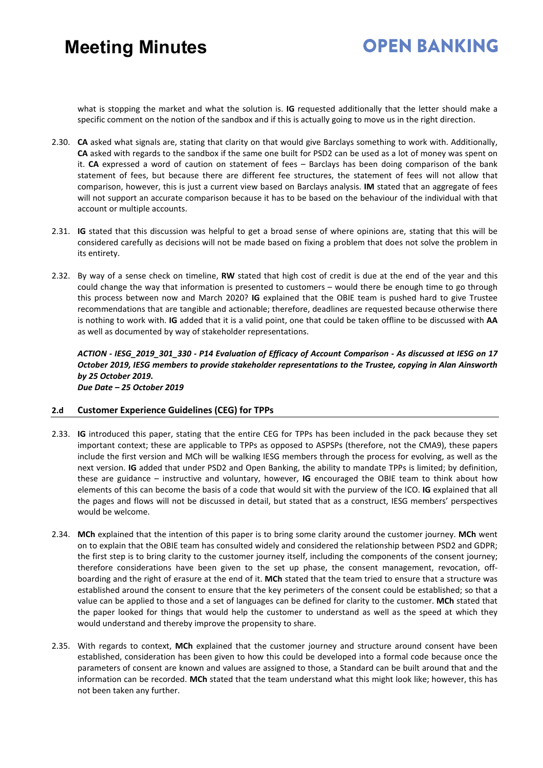### **OPEN BANKING**

what is stopping the market and what the solution is. **IG** requested additionally that the letter should make a specific comment on the notion of the sandbox and if this is actually going to move us in the right direction.

- 2.30. **CA** asked what signals are, stating that clarity on that would give Barclays something to work with. Additionally, **CA** asked with regards to the sandbox if the same one built for PSD2 can be used as a lot of money was spent on it. **CA** expressed a word of caution on statement of fees – Barclays has been doing comparison of the bank statement of fees, but because there are different fee structures, the statement of fees will not allow that comparison, however, this is just a current view based on Barclays analysis. **IM** stated that an aggregate of fees will not support an accurate comparison because it has to be based on the behaviour of the individual with that account or multiple accounts.
- 2.31. **IG** stated that this discussion was helpful to get a broad sense of where opinions are, stating that this will be considered carefully as decisions will not be made based on fixing a problem that does not solve the problem in its entirety.
- 2.32. By way of a sense check on timeline, **RW** stated that high cost of credit is due at the end of the year and this could change the way that information is presented to customers – would there be enough time to go through this process between now and March 2020? **IG** explained that the OBIE team is pushed hard to give Trustee recommendations that are tangible and actionable; therefore, deadlines are requested because otherwise there is nothing to work with. **IG** added that it is a valid point, one that could be taken offline to be discussed with **AA** as well as documented by way of stakeholder representations.

*ACTION - IESG\_2019\_301\_330 - P14 Evaluation of Efficacy of Account Comparison - As discussed at IESG on 17 October 2019, IESG members to provide stakeholder representations to the Trustee, copying in Alan Ainsworth by 25 October 2019. Due Date – 25 October 2019* 

#### **2.d Customer Experience Guidelines (CEG) for TPPs**

- 2.33. **IG** introduced this paper, stating that the entire CEG for TPPs has been included in the pack because they set important context; these are applicable to TPPs as opposed to ASPSPs (therefore, not the CMA9), these papers include the first version and MCh will be walking IESG members through the process for evolving, as well as the next version. **IG** added that under PSD2 and Open Banking, the ability to mandate TPPs is limited; by definition, these are guidance – instructive and voluntary, however, **IG** encouraged the OBIE team to think about how elements of this can become the basis of a code that would sit with the purview of the ICO. **IG** explained that all the pages and flows will not be discussed in detail, but stated that as a construct, IESG members' perspectives would be welcome.
- 2.34. **MCh** explained that the intention of this paper is to bring some clarity around the customer journey. **MCh** went on to explain that the OBIE team has consulted widely and considered the relationship between PSD2 and GDPR; the first step is to bring clarity to the customer journey itself, including the components of the consent journey; therefore considerations have been given to the set up phase, the consent management, revocation, offboarding and the right of erasure at the end of it. **MCh** stated that the team tried to ensure that a structure was established around the consent to ensure that the key perimeters of the consent could be established; so that a value can be applied to those and a set of languages can be defined for clarity to the customer. **MCh** stated that the paper looked for things that would help the customer to understand as well as the speed at which they would understand and thereby improve the propensity to share.
- 2.35. With regards to context, **MCh** explained that the customer journey and structure around consent have been established, consideration has been given to how this could be developed into a formal code because once the parameters of consent are known and values are assigned to those, a Standard can be built around that and the information can be recorded. **MCh** stated that the team understand what this might look like; however, this has not been taken any further.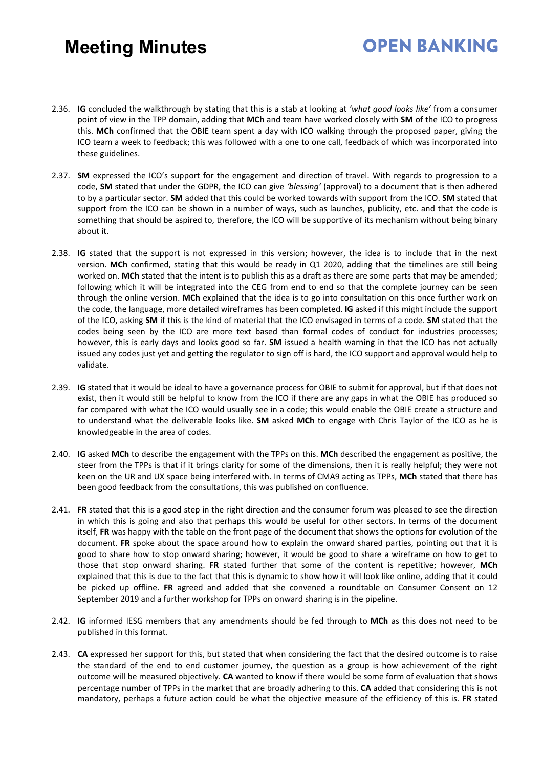### **OPEN BANKING**

- 2.36. **IG** concluded the walkthrough by stating that this is a stab at looking at *'what good looks like'* from a consumer point of view in the TPP domain, adding that **MCh** and team have worked closely with **SM** of the ICO to progress this. **MCh** confirmed that the OBIE team spent a day with ICO walking through the proposed paper, giving the ICO team a week to feedback; this was followed with a one to one call, feedback of which was incorporated into these guidelines.
- 2.37. **SM** expressed the ICO's support for the engagement and direction of travel. With regards to progression to a code, **SM** stated that under the GDPR, the ICO can give *'blessing'* (approval) to a document that is then adhered to by a particular sector. **SM** added that this could be worked towards with support from the ICO. **SM** stated that support from the ICO can be shown in a number of ways, such as launches, publicity, etc. and that the code is something that should be aspired to, therefore, the ICO will be supportive of its mechanism without being binary about it.
- 2.38. **IG** stated that the support is not expressed in this version; however, the idea is to include that in the next version. **MCh** confirmed, stating that this would be ready in Q1 2020, adding that the timelines are still being worked on. **MCh** stated that the intent is to publish this as a draft as there are some parts that may be amended; following which it will be integrated into the CEG from end to end so that the complete journey can be seen through the online version. **MCh** explained that the idea is to go into consultation on this once further work on the code, the language, more detailed wireframes has been completed. **IG** asked if this might include the support of the ICO, asking **SM** if this is the kind of material that the ICO envisaged in terms of a code. **SM** stated that the codes being seen by the ICO are more text based than formal codes of conduct for industries processes; however, this is early days and looks good so far. **SM** issued a health warning in that the ICO has not actually issued any codes just yet and getting the regulator to sign off is hard, the ICO support and approval would help to validate.
- 2.39. **IG** stated that it would be ideal to have a governance process for OBIE to submit for approval, but if that does not exist, then it would still be helpful to know from the ICO if there are any gaps in what the OBIE has produced so far compared with what the ICO would usually see in a code; this would enable the OBIE create a structure and to understand what the deliverable looks like. **SM** asked **MCh** to engage with Chris Taylor of the ICO as he is knowledgeable in the area of codes.
- 2.40. **IG** asked **MCh** to describe the engagement with the TPPs on this. **MCh** described the engagement as positive, the steer from the TPPs is that if it brings clarity for some of the dimensions, then it is really helpful; they were not keen on the UR and UX space being interfered with. In terms of CMA9 acting as TPPs, **MCh** stated that there has been good feedback from the consultations, this was published on confluence.
- 2.41. **FR** stated that this is a good step in the right direction and the consumer forum was pleased to see the direction in which this is going and also that perhaps this would be useful for other sectors. In terms of the document itself, **FR** was happy with the table on the front page of the document that shows the options for evolution of the document. **FR** spoke about the space around how to explain the onward shared parties, pointing out that it is good to share how to stop onward sharing; however, it would be good to share a wireframe on how to get to those that stop onward sharing. **FR** stated further that some of the content is repetitive; however, **MCh** explained that this is due to the fact that this is dynamic to show how it will look like online, adding that it could be picked up offline. **FR** agreed and added that she convened a roundtable on Consumer Consent on 12 September 2019 and a further workshop for TPPs on onward sharing is in the pipeline.
- 2.42. **IG** informed IESG members that any amendments should be fed through to **MCh** as this does not need to be published in this format.
- 2.43. **CA** expressed her support for this, but stated that when considering the fact that the desired outcome is to raise the standard of the end to end customer journey, the question as a group is how achievement of the right outcome will be measured objectively. **CA** wanted to know if there would be some form of evaluation that shows percentage number of TPPs in the market that are broadly adhering to this. **CA** added that considering this is not mandatory, perhaps a future action could be what the objective measure of the efficiency of this is. **FR** stated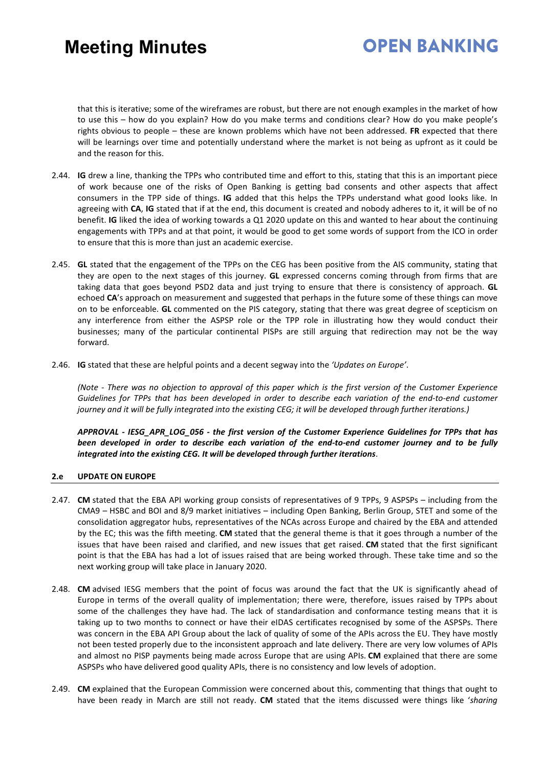### **OPEN BANKING**

that this is iterative; some of the wireframes are robust, but there are not enough examples in the market of how to use this – how do you explain? How do you make terms and conditions clear? How do you make people's rights obvious to people – these are known problems which have not been addressed. **FR** expected that there will be learnings over time and potentially understand where the market is not being as upfront as it could be and the reason for this.

- 2.44. **IG** drew a line, thanking the TPPs who contributed time and effort to this, stating that this is an important piece of work because one of the risks of Open Banking is getting bad consents and other aspects that affect consumers in the TPP side of things. **IG** added that this helps the TPPs understand what good looks like. In agreeing with **CA**, **IG** stated that if at the end, this document is created and nobody adheres to it, it will be of no benefit. **IG** liked the idea of working towards a Q1 2020 update on this and wanted to hear about the continuing engagements with TPPs and at that point, it would be good to get some words of support from the ICO in order to ensure that this is more than just an academic exercise.
- 2.45. **GL** stated that the engagement of the TPPs on the CEG has been positive from the AIS community, stating that they are open to the next stages of this journey. **GL** expressed concerns coming through from firms that are taking data that goes beyond PSD2 data and just trying to ensure that there is consistency of approach. **GL** echoed **CA**'s approach on measurement and suggested that perhaps in the future some of these things can move on to be enforceable. **GL** commented on the PIS category, stating that there was great degree of scepticism on any interference from either the ASPSP role or the TPP role in illustrating how they would conduct their businesses; many of the particular continental PISPs are still arguing that redirection may not be the way forward.
- 2.46. **IG** stated that these are helpful points and a decent segway into the *'Updates on Europe'*.

*(Note - There was no objection to approval of this paper which is the first version of the Customer Experience Guidelines for TPPs that has been developed in order to describe each variation of the end-to-end customer journey and it will be fully integrated into the existing CEG; it will be developed through further iterations.)*

*APPROVAL - IESG\_APR\_LOG\_056 - the first version of the Customer Experience Guidelines for TPPs that has been developed in order to describe each variation of the end-to-end customer journey and to be fully integrated into the existing CEG. It will be developed through further iterations*.

#### **2.e UPDATE ON EUROPE**

- 2.47. **CM** stated that the EBA API working group consists of representatives of 9 TPPs, 9 ASPSPs including from the CMA9 – HSBC and BOI and 8/9 market initiatives – including Open Banking, Berlin Group, STET and some of the consolidation aggregator hubs, representatives of the NCAs across Europe and chaired by the EBA and attended by the EC; this was the fifth meeting. **CM** stated that the general theme is that it goes through a number of the issues that have been raised and clarified, and new issues that get raised. **CM** stated that the first significant point is that the EBA has had a lot of issues raised that are being worked through. These take time and so the next working group will take place in January 2020.
- 2.48. **CM** advised IESG members that the point of focus was around the fact that the UK is significantly ahead of Europe in terms of the overall quality of implementation; there were, therefore, issues raised by TPPs about some of the challenges they have had. The lack of standardisation and conformance testing means that it is taking up to two months to connect or have their eIDAS certificates recognised by some of the ASPSPs. There was concern in the EBA API Group about the lack of quality of some of the APIs across the EU. They have mostly not been tested properly due to the inconsistent approach and late delivery. There are very low volumes of APIs and almost no PISP payments being made across Europe that are using APIs. **CM** explained that there are some ASPSPs who have delivered good quality APIs, there is no consistency and low levels of adoption.
- 2.49. **CM** explained that the European Commission were concerned about this, commenting that things that ought to have been ready in March are still not ready. **CM** stated that the items discussed were things like '*sharing*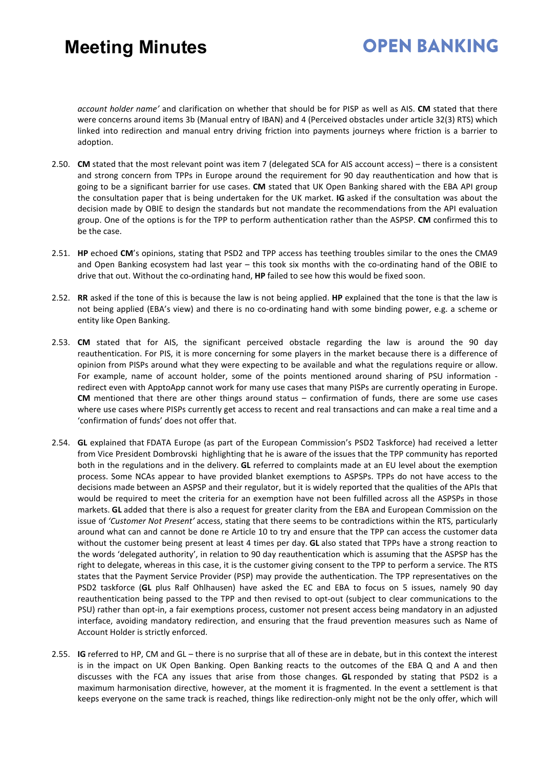### **OPEN BANKING**

*account holder name'* and clarification on whether that should be for PISP as well as AIS. **CM** stated that there were concerns around items 3b (Manual entry of IBAN) and 4 (Perceived obstacles under article 32(3) RTS) which linked into redirection and manual entry driving friction into payments journeys where friction is a barrier to adoption.

- 2.50. **CM** stated that the most relevant point was item 7 (delegated SCA for AIS account access) there is a consistent and strong concern from TPPs in Europe around the requirement for 90 day reauthentication and how that is going to be a significant barrier for use cases. **CM** stated that UK Open Banking shared with the EBA API group the consultation paper that is being undertaken for the UK market. **IG** asked if the consultation was about the decision made by OBIE to design the standards but not mandate the recommendations from the API evaluation group. One of the options is for the TPP to perform authentication rather than the ASPSP. **CM** confirmed this to be the case.
- 2.51. **HP** echoed **CM**'s opinions, stating that PSD2 and TPP access has teething troubles similar to the ones the CMA9 and Open Banking ecosystem had last year – this took six months with the co-ordinating hand of the OBIE to drive that out. Without the co-ordinating hand, **HP** failed to see how this would be fixed soon.
- 2.52. **RR** asked if the tone of this is because the law is not being applied. **HP** explained that the tone is that the law is not being applied (EBA's view) and there is no co-ordinating hand with some binding power, e.g. a scheme or entity like Open Banking.
- 2.53. **CM** stated that for AIS, the significant perceived obstacle regarding the law is around the 90 day reauthentication. For PIS, it is more concerning for some players in the market because there is a difference of opinion from PISPs around what they were expecting to be available and what the regulations require or allow. For example, name of account holder, some of the points mentioned around sharing of PSU information redirect even with ApptoApp cannot work for many use cases that many PISPs are currently operating in Europe. **CM** mentioned that there are other things around status – confirmation of funds, there are some use cases where use cases where PISPs currently get access to recent and real transactions and can make a real time and a 'confirmation of funds' does not offer that.
- 2.54. **GL** explained that FDATA Europe (as part of the European Commission's PSD2 Taskforce) had received a letter from Vice President Dombrovski highlighting that he is aware of the issues that the TPP community has reported both in the regulations and in the delivery. **GL** referred to complaints made at an EU level about the exemption process. Some NCAs appear to have provided blanket exemptions to ASPSPs. TPPs do not have access to the decisions made between an ASPSP and their regulator, but it is widely reported that the qualities of the APIs that would be required to meet the criteria for an exemption have not been fulfilled across all the ASPSPs in those markets. **GL** added that there is also a request for greater clarity from the EBA and European Commission on the issue of *'Customer Not Present'* access, stating that there seems to be contradictions within the RTS, particularly around what can and cannot be done re Article 10 to try and ensure that the TPP can access the customer data without the customer being present at least 4 times per day. **GL** also stated that TPPs have a strong reaction to the words 'delegated authority', in relation to 90 day reauthentication which is assuming that the ASPSP has the right to delegate, whereas in this case, it is the customer giving consent to the TPP to perform a service. The RTS states that the Payment Service Provider (PSP) may provide the authentication. The TPP representatives on the PSD2 taskforce (**GL** plus Ralf Ohlhausen) have asked the EC and EBA to focus on 5 issues, namely 90 day reauthentication being passed to the TPP and then revised to opt-out (subject to clear communications to the PSU) rather than opt-in, a fair exemptions process, customer not present access being mandatory in an adjusted interface, avoiding mandatory redirection, and ensuring that the fraud prevention measures such as Name of Account Holder is strictly enforced.
- 2.55. **IG** referred to HP, CM and GL there is no surprise that all of these are in debate, but in this context the interest is in the impact on UK Open Banking. Open Banking reacts to the outcomes of the EBA Q and A and then discusses with the FCA any issues that arise from those changes. **GL** responded by stating that PSD2 is a maximum harmonisation directive, however, at the moment it is fragmented. In the event a settlement is that keeps everyone on the same track is reached, things like redirection-only might not be the only offer, which will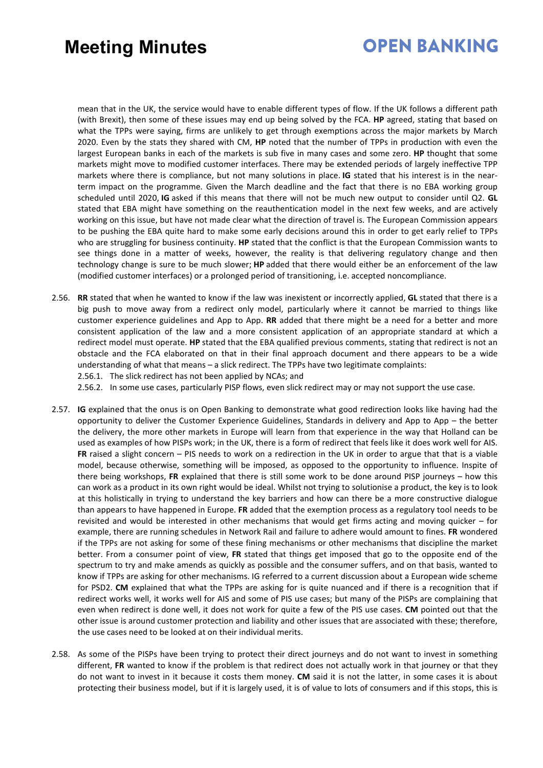### **OPEN BANKING**

mean that in the UK, the service would have to enable different types of flow. If the UK follows a different path (with Brexit), then some of these issues may end up being solved by the FCA. **HP** agreed, stating that based on what the TPPs were saying, firms are unlikely to get through exemptions across the major markets by March 2020. Even by the stats they shared with CM, **HP** noted that the number of TPPs in production with even the largest European banks in each of the markets is sub five in many cases and some zero. **HP** thought that some markets might move to modified customer interfaces. There may be extended periods of largely ineffective TPP markets where there is compliance, but not many solutions in place. **IG** stated that his interest is in the nearterm impact on the programme. Given the March deadline and the fact that there is no EBA working group scheduled until 2020, **IG** asked if this means that there will not be much new output to consider until Q2. **GL** stated that EBA might have something on the reauthentication model in the next few weeks, and are actively working on this issue, but have not made clear what the direction of travel is. The European Commission appears to be pushing the EBA quite hard to make some early decisions around this in order to get early relief to TPPs who are struggling for business continuity. **HP** stated that the conflict is that the European Commission wants to see things done in a matter of weeks, however, the reality is that delivering regulatory change and then technology change is sure to be much slower; **HP** added that there would either be an enforcement of the law (modified customer interfaces) or a prolonged period of transitioning, i.e. accepted noncompliance.

2.56. **RR** stated that when he wanted to know if the law was inexistent or incorrectly applied, **GL** stated that there is a big push to move away from a redirect only model, particularly where it cannot be married to things like customer experience guidelines and App to App. **RR** added that there might be a need for a better and more consistent application of the law and a more consistent application of an appropriate standard at which a redirect model must operate. **HP** stated that the EBA qualified previous comments, stating that redirect is not an obstacle and the FCA elaborated on that in their final approach document and there appears to be a wide understanding of what that means – a slick redirect. The TPPs have two legitimate complaints: 2.56.1. The slick redirect has not been applied by NCAs; and

2.56.2. In some use cases, particularly PISP flows, even slick redirect may or may not support the use case.

- 2.57. **IG** explained that the onus is on Open Banking to demonstrate what good redirection looks like having had the opportunity to deliver the Customer Experience Guidelines, Standards in delivery and App to App – the better the delivery, the more other markets in Europe will learn from that experience in the way that Holland can be used as examples of how PISPs work; in the UK, there is a form of redirect that feels like it does work well for AIS. **FR** raised a slight concern – PIS needs to work on a redirection in the UK in order to argue that that is a viable model, because otherwise, something will be imposed, as opposed to the opportunity to influence. Inspite of there being workshops, **FR** explained that there is still some work to be done around PISP journeys – how this can work as a product in its own right would be ideal. Whilst not trying to solutionise a product, the key is to look at this holistically in trying to understand the key barriers and how can there be a more constructive dialogue than appears to have happened in Europe. **FR** added that the exemption process as a regulatory tool needs to be revisited and would be interested in other mechanisms that would get firms acting and moving quicker – for example, there are running schedules in Network Rail and failure to adhere would amount to fines. **FR** wondered if the TPPs are not asking for some of these fining mechanisms or other mechanisms that discipline the market better. From a consumer point of view, **FR** stated that things get imposed that go to the opposite end of the spectrum to try and make amends as quickly as possible and the consumer suffers, and on that basis, wanted to know if TPPs are asking for other mechanisms. IG referred to a current discussion about a European wide scheme for PSD2. **CM** explained that what the TPPs are asking for is quite nuanced and if there is a recognition that if redirect works well, it works well for AIS and some of PIS use cases; but many of the PISPs are complaining that even when redirect is done well, it does not work for quite a few of the PIS use cases. **CM** pointed out that the other issue is around customer protection and liability and other issues that are associated with these; therefore, the use cases need to be looked at on their individual merits.
- 2.58. As some of the PISPs have been trying to protect their direct journeys and do not want to invest in something different, **FR** wanted to know if the problem is that redirect does not actually work in that journey or that they do not want to invest in it because it costs them money. **CM** said it is not the latter, in some cases it is about protecting their business model, but if it is largely used, it is of value to lots of consumers and if this stops, this is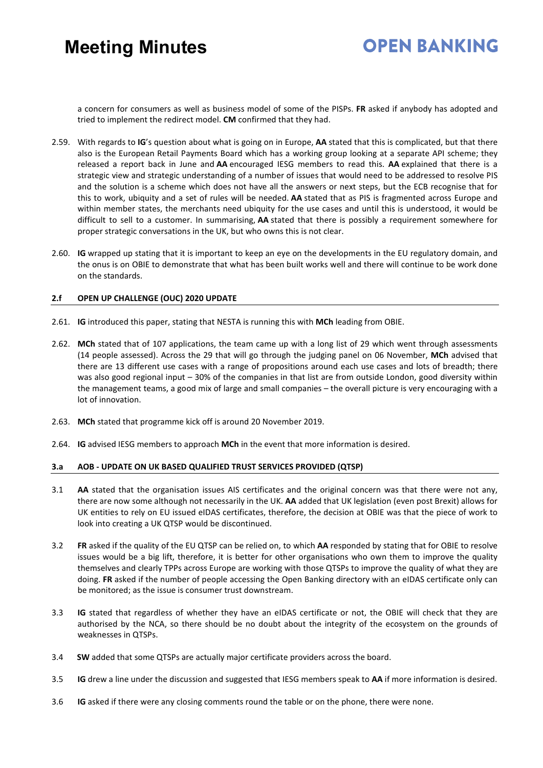### **OPEN RANKING**

a concern for consumers as well as business model of some of the PISPs. **FR** asked if anybody has adopted and tried to implement the redirect model. **CM** confirmed that they had.

- 2.59. With regards to **IG**'s question about what is going on in Europe, **AA** stated that this is complicated, but that there also is the European Retail Payments Board which has a working group looking at a separate API scheme; they released a report back in June and **AA** encouraged IESG members to read this. **AA** explained that there is a strategic view and strategic understanding of a number of issues that would need to be addressed to resolve PIS and the solution is a scheme which does not have all the answers or next steps, but the ECB recognise that for this to work, ubiquity and a set of rules will be needed. **AA** stated that as PIS is fragmented across Europe and within member states, the merchants need ubiquity for the use cases and until this is understood, it would be difficult to sell to a customer. In summarising, **AA** stated that there is possibly a requirement somewhere for proper strategic conversations in the UK, but who owns this is not clear.
- 2.60. **IG** wrapped up stating that it is important to keep an eye on the developments in the EU regulatory domain, and the onus is on OBIE to demonstrate that what has been built works well and there will continue to be work done on the standards.

#### **2.f OPEN UP CHALLENGE (OUC) 2020 UPDATE**

- 2.61. **IG** introduced this paper, stating that NESTA is running this with **MCh** leading from OBIE.
- 2.62. **MCh** stated that of 107 applications, the team came up with a long list of 29 which went through assessments (14 people assessed). Across the 29 that will go through the judging panel on 06 November, **MCh** advised that there are 13 different use cases with a range of propositions around each use cases and lots of breadth; there was also good regional input – 30% of the companies in that list are from outside London, good diversity within the management teams, a good mix of large and small companies – the overall picture is very encouraging with a lot of innovation.
- 2.63. **MCh** stated that programme kick off is around 20 November 2019.
- 2.64. **IG** advised IESG members to approach **MCh** in the event that more information is desired.

#### **3.a AOB - UPDATE ON UK BASED QUALIFIED TRUST SERVICES PROVIDED (QTSP)**

- 3.1 **AA** stated that the organisation issues AIS certificates and the original concern was that there were not any, there are now some although not necessarily in the UK. **AA** added that UK legislation (even post Brexit) allows for UK entities to rely on EU issued eIDAS certificates, therefore, the decision at OBIE was that the piece of work to look into creating a UK QTSP would be discontinued.
- 3.2 **FR** asked if the quality of the EU QTSP can be relied on, to which **AA** responded by stating that for OBIE to resolve issues would be a big lift, therefore, it is better for other organisations who own them to improve the quality themselves and clearly TPPs across Europe are working with those QTSPs to improve the quality of what they are doing. **FR** asked if the number of people accessing the Open Banking directory with an eIDAS certificate only can be monitored; as the issue is consumer trust downstream.
- 3.3 **IG** stated that regardless of whether they have an eIDAS certificate or not, the OBIE will check that they are authorised by the NCA, so there should be no doubt about the integrity of the ecosystem on the grounds of weaknesses in QTSPs.
- 3.4 **SW** added that some QTSPs are actually major certificate providers across the board.
- 3.5 **IG** drew a line under the discussion and suggested that IESG members speak to **AA** if more information is desired.
- 3.6 **IG** asked if there were any closing comments round the table or on the phone, there were none.